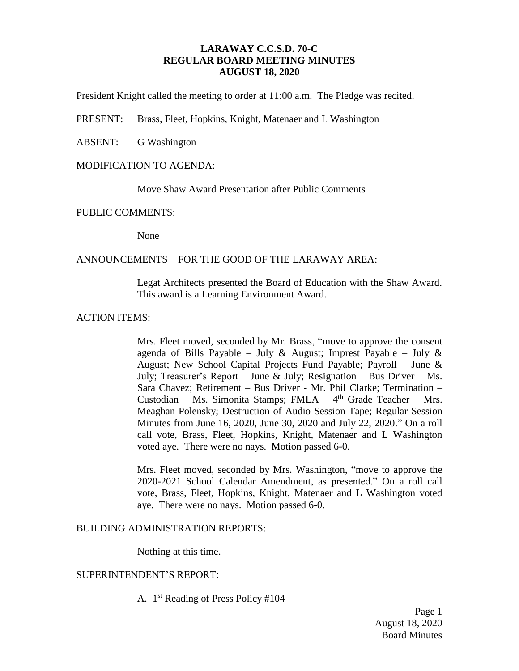# **LARAWAY C.C.S.D. 70-C REGULAR BOARD MEETING MINUTES AUGUST 18, 2020**

President Knight called the meeting to order at 11:00 a.m. The Pledge was recited.

PRESENT: Brass, Fleet, Hopkins, Knight, Matenaer and L Washington

ABSENT: G Washington

### MODIFICATION TO AGENDA:

Move Shaw Award Presentation after Public Comments

#### PUBLIC COMMENTS:

None

# ANNOUNCEMENTS – FOR THE GOOD OF THE LARAWAY AREA:

Legat Architects presented the Board of Education with the Shaw Award. This award is a Learning Environment Award.

## ACTION ITEMS:

Mrs. Fleet moved, seconded by Mr. Brass, "move to approve the consent agenda of Bills Payable – July & August; Imprest Payable – July & August; New School Capital Projects Fund Payable; Payroll – June & July; Treasurer's Report – June & July; Resignation – Bus Driver – Ms. Sara Chavez; Retirement – Bus Driver - Mr. Phil Clarke; Termination – Custodian – Ms. Simonita Stamps; FMLA –  $4<sup>th</sup>$  Grade Teacher – Mrs. Meaghan Polensky; Destruction of Audio Session Tape; Regular Session Minutes from June 16, 2020, June 30, 2020 and July 22, 2020." On a roll call vote, Brass, Fleet, Hopkins, Knight, Matenaer and L Washington voted aye. There were no nays. Motion passed 6-0.

Mrs. Fleet moved, seconded by Mrs. Washington, "move to approve the 2020-2021 School Calendar Amendment, as presented." On a roll call vote, Brass, Fleet, Hopkins, Knight, Matenaer and L Washington voted aye. There were no nays. Motion passed 6-0.

# BUILDING ADMINISTRATION REPORTS:

Nothing at this time.

# SUPERINTENDENT'S REPORT:

A. 1 st Reading of Press Policy #104